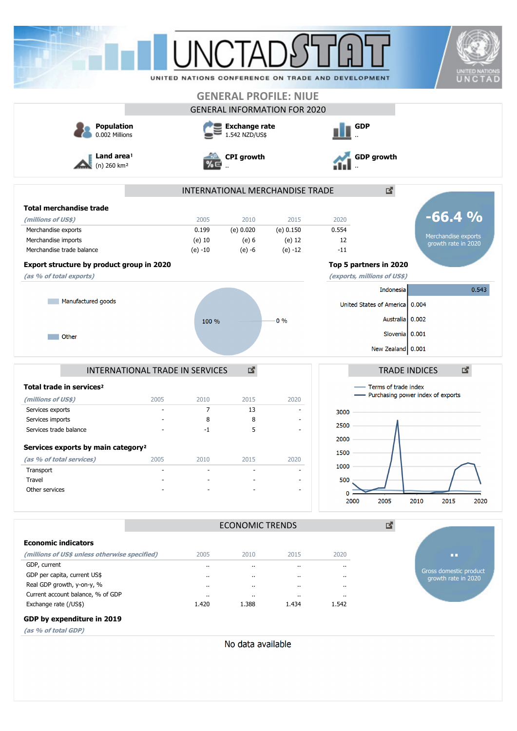|                                                |                                 | <b>I INCTA</b>                         |                        |                                              | UNITED NATIONS CONFERENCE ON TRADE AND DEVELOPMENT |                                     | <b>UNITED NATIONS</b><br>UNCTAD |
|------------------------------------------------|---------------------------------|----------------------------------------|------------------------|----------------------------------------------|----------------------------------------------------|-------------------------------------|---------------------------------|
|                                                |                                 |                                        |                        | <b>GENERAL PROFILE: NIUE</b>                 |                                                    |                                     |                                 |
|                                                |                                 |                                        |                        | <b>GENERAL INFORMATION FOR 2020</b>          |                                                    |                                     |                                 |
| <b>Population</b><br>0.002 Millions            |                                 | <b>Exchange rate</b><br>1.542 NZD/US\$ |                        |                                              | <b>GDP</b>                                         |                                     |                                 |
| Land area!<br>$(n)$ 260 km <sup>2</sup>        |                                 | <b>CPI</b> growth                      |                        | <b>GDP</b> growth                            |                                                    |                                     |                                 |
|                                                |                                 |                                        |                        | INTERNATIONAL MERCHANDISE TRADE              |                                                    | 図                                   |                                 |
| <b>Total merchandise trade</b>                 |                                 |                                        |                        |                                              |                                                    |                                     |                                 |
| (millions of US\$)                             |                                 | 2005                                   | 2010                   | 2015                                         | 2020                                               |                                     | $-66.4%$                        |
| Merchandise exports                            |                                 | 0.199                                  | (e) 0.020              | (e) 0.150                                    | 0.554                                              |                                     |                                 |
| Merchandise imports                            |                                 | $(e)$ 10                               | (e) 6                  | $(e)$ 12                                     | 12                                                 |                                     | Merchandise exports             |
| Merchandise trade balance                      |                                 | $(e) -10$                              | $(e) -6$               | $(e) -12$                                    | $-11$                                              |                                     | growth rate in 2020             |
|                                                |                                 |                                        |                        |                                              |                                                    |                                     |                                 |
| Export structure by product group in 2020      |                                 |                                        |                        |                                              | Top 5 partners in 2020                             |                                     |                                 |
| (as % of total exports)                        |                                 |                                        |                        |                                              | (exports, millions of US\$)                        |                                     |                                 |
|                                                |                                 |                                        |                        |                                              |                                                    | Indonesia                           | 0.543                           |
| Manufactured goods                             |                                 |                                        |                        |                                              |                                                    | United States of America   0.004    |                                 |
|                                                |                                 |                                        |                        |                                              |                                                    |                                     |                                 |
|                                                |                                 | 100 %                                  |                        | $0\%$                                        |                                                    | Australia   0.002                   |                                 |
| <b>Other</b>                                   |                                 |                                        |                        |                                              |                                                    | Slovenia 0.001                      |                                 |
|                                                |                                 |                                        |                        |                                              |                                                    | New Zealand 0.001                   |                                 |
|                                                |                                 |                                        |                        |                                              |                                                    |                                     |                                 |
|                                                | INTERNATIONAL TRADE IN SERVICES |                                        | 國                      |                                              |                                                    | <b>TRADE INDICES</b>                | 國                               |
| Total trade in services <sup>2</sup>           |                                 |                                        |                        |                                              |                                                    | Terms of trade index                |                                 |
| (millions of US\$)                             | 2005                            | 2010                                   | 2015                   | 2020                                         |                                                    | - Purchasing power index of exports |                                 |
| Services exports                               | $\blacksquare$                  | $\overline{7}$                         | 13                     |                                              | 3000                                               |                                     |                                 |
| Services imports                               |                                 | 8                                      | 8                      |                                              |                                                    |                                     |                                 |
| Services trade balance                         |                                 | $-1$                                   | 5                      |                                              | 2500                                               |                                     |                                 |
|                                                |                                 |                                        |                        |                                              | 2000                                               |                                     |                                 |
| Services exports by main category <sup>2</sup> |                                 |                                        |                        |                                              | 1500                                               |                                     |                                 |
| (as % of total services)                       | 2005                            | 2010                                   | 2015                   | 2020                                         | 1000                                               |                                     |                                 |
| Transport                                      | ÷,                              |                                        |                        |                                              |                                                    |                                     |                                 |
| Travel<br>Other services                       |                                 |                                        |                        | $\blacksquare$                               | 500                                                |                                     |                                 |
|                                                |                                 |                                        |                        |                                              | 0<br>2000                                          | 2005<br>2010                        | 2015<br>2020                    |
|                                                |                                 |                                        | <b>ECONOMIC TRENDS</b> |                                              |                                                    | 2                                   |                                 |
| <b>Economic indicators</b>                     |                                 |                                        |                        |                                              |                                                    |                                     |                                 |
|                                                |                                 |                                        |                        |                                              |                                                    |                                     |                                 |
| (millions of US\$ unless otherwise specified)  |                                 | 2005                                   | 2010                   | 2015                                         | 2020                                               |                                     | u p                             |
| GDP, current<br>GDP per capita, current US\$   |                                 | ٠.                                     | $\ddot{\phantom{1}}$   | $\ddot{\phantom{a}}$                         |                                                    |                                     | Gross domestic product          |
| Real GDP growth, y-on-y, %                     |                                 | .,                                     | $\cdot$                | $\ddot{\phantom{a}}$                         | $\ddot{\phantom{0}}$                               |                                     | growth rate in 2020             |
| Current account balance, % of GDP              |                                 | <br>                                   | $\ddot{\phantom{a}}$   | $\ddot{\phantom{a}}$<br>$\ddot{\phantom{a}}$ | $\ddot{\phantom{0}}$<br>.,                         |                                     |                                 |
|                                                |                                 |                                        |                        |                                              |                                                    |                                     |                                 |

### **GDP by expenditure in 2019**

**(as % of total GDP)**

No data available

Exchange rate (/US\$) 1.542 1.420 1.388 1.434 1.542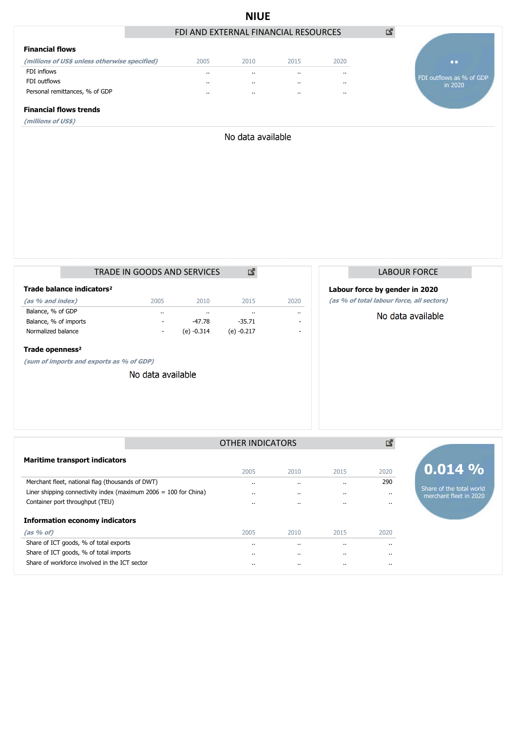|                                               |                                      | <b>NIUE</b>       |          |          |                                     |
|-----------------------------------------------|--------------------------------------|-------------------|----------|----------|-------------------------------------|
|                                               | FDI AND EXTERNAL FINANCIAL RESOURCES |                   |          |          | 國                                   |
| <b>Financial flows</b>                        |                                      |                   |          |          |                                     |
| (millions of US\$ unless otherwise specified) | 2005                                 | 2010              | 2015     | 2020     | п.                                  |
| FDI inflows                                   | $\cdots$                             | $\cdots$          | $\cdots$ | $\cdots$ |                                     |
| FDI outflows                                  | $\cdots$                             | $\cdots$          | $\cdots$ | $\cdots$ | FDI outflows as % of GDP<br>in 2020 |
| Personal remittances, % of GDP                | $\cdots$                             | $\sim$            | $\cdots$ | $\cdots$ |                                     |
| <b>Financial flows trends</b>                 |                                      |                   |          |          |                                     |
| (millions of US\$)                            |                                      |                   |          |          |                                     |
|                                               |                                      | No data available |          |          |                                     |
|                                               |                                      |                   |          |          |                                     |
|                                               |                                      |                   |          |          |                                     |
|                                               |                                      |                   |          |          |                                     |
|                                               |                                      |                   |          |          |                                     |
|                                               |                                      |                   |          |          |                                     |
|                                               |                                      |                   |          |          |                                     |
|                                               |                                      |                   |          |          |                                     |
|                                               |                                      |                   |          |          |                                     |
|                                               |                                      |                   |          |          |                                     |
|                                               |                                      |                   |          |          |                                     |

|                                       | TRADE IN GOODS AND SERVICES |           |              |            |      |  |  |  |  |
|---------------------------------------|-----------------------------|-----------|--------------|------------|------|--|--|--|--|
| Trade balance indicators <sup>2</sup> |                             |           |              |            |      |  |  |  |  |
| (as % and index)                      |                             | 2005      | 2010         | 2015       | 2020 |  |  |  |  |
| Balance, % of GDP                     |                             | $\cdot$ . |              |            |      |  |  |  |  |
| Balance, % of imports                 |                             |           | -47.78       | $-35.71$   |      |  |  |  |  |
| Normalized balance                    |                             | ٠         | $(e) -0.314$ | (e) -0.217 |      |  |  |  |  |
| Trade openness <sup>2</sup>           |                             |           |              |            |      |  |  |  |  |

**(sum of imports and exports as % of GDP)**

No data available

# LABOUR FORCE

## **Labour force by gender in 2020**

**(as % of total labour force, all sectors)**

### No data available

|                                                                    | <b>OTHER INDICATORS</b> |           |                      | r        |                                                    |
|--------------------------------------------------------------------|-------------------------|-----------|----------------------|----------|----------------------------------------------------|
| <b>Maritime transport indicators</b>                               |                         |           |                      |          |                                                    |
|                                                                    | 2005                    | 2010      | 2015                 | 2020     | $0.014\%$                                          |
| Merchant fleet, national flag (thousands of DWT)                   | $\cdots$                | $\cdots$  | $\ddot{\phantom{a}}$ | 290      |                                                    |
| Liner shipping connectivity index (maximum $2006 = 100$ for China) | $\cdots$                | $\cdots$  |                      | $\cdots$ | Share of the total world<br>merchant fleet in 2020 |
| Container port throughput (TEU)                                    | $\cdots$                | $\cdot$ . |                      | $\cdots$ |                                                    |
| <b>Information economy indicators</b>                              |                         |           |                      |          |                                                    |
| (as 96 of)                                                         | 2005                    | 2010      | 2015                 | 2020     |                                                    |
| Share of ICT goods, % of total exports                             | $\cdots$                | $\cdots$  |                      | $\cdot$  |                                                    |
| Share of ICT goods, % of total imports                             | $\cdots$                | $\cdots$  |                      | $\cdots$ |                                                    |
| Share of workforce involved in the ICT sector                      |                         | $\cdots$  |                      | $\cdots$ |                                                    |